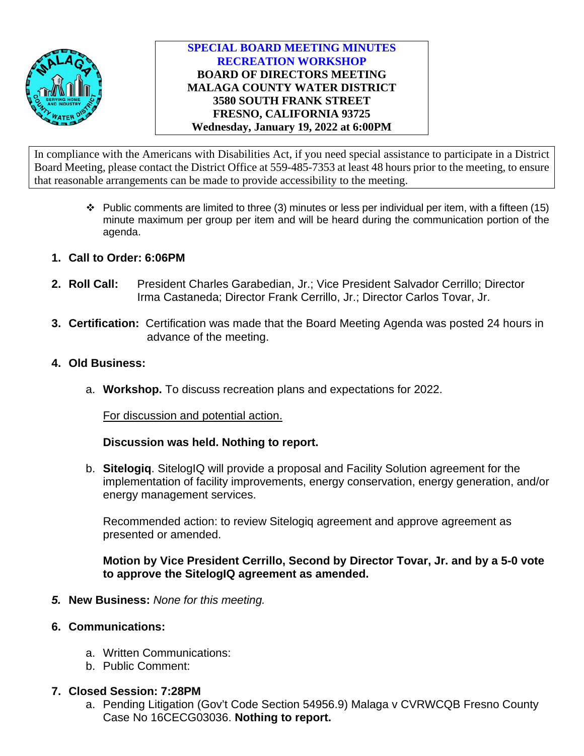

# **SPECIAL BOARD MEETING MINUTES RECREATION WORKSHOP BOARD OF DIRECTORS MEETING MALAGA COUNTY WATER DISTRICT 3580 SOUTH FRANK STREET FRESNO, CALIFORNIA 93725 Wednesday, January 19, 2022 at 6:00PM**

In compliance with the Americans with Disabilities Act, if you need special assistance to participate in a District Board Meeting, please contact the District Office at 559-485-7353 at least 48 hours prior to the meeting, to ensure that reasonable arrangements can be made to provide accessibility to the meeting.

- $\cdot \cdot$  Public comments are limited to three (3) minutes or less per individual per item, with a fifteen (15) minute maximum per group per item and will be heard during the communication portion of the agenda.
- **1. Call to Order: 6:06PM**
- **2. Roll Call:** President Charles Garabedian, Jr.; Vice President Salvador Cerrillo; Director Irma Castaneda; Director Frank Cerrillo, Jr.; Director Carlos Tovar, Jr.
- **3. Certification:** Certification was made that the Board Meeting Agenda was posted 24 hours in advance of the meeting.
- **4. Old Business:**
	- a. **Workshop.** To discuss recreation plans and expectations for 2022.

For discussion and potential action.

## **Discussion was held. Nothing to report.**

b. **Sitelogiq**. SitelogIQ will provide a proposal and Facility Solution agreement for the implementation of facility improvements, energy conservation, energy generation, and/or energy management services.

Recommended action: to review Sitelogiq agreement and approve agreement as presented or amended.

**Motion by Vice President Cerrillo, Second by Director Tovar, Jr. and by a 5-0 vote to approve the SitelogIQ agreement as amended.** 

- *5.* **New Business:** *None for this meeting.*
- **6. Communications:**
	- a. Written Communications:
	- b. Public Comment:

## **7. Closed Session: 7:28PM**

a. Pending Litigation (Gov't Code Section 54956.9) Malaga v CVRWCQB Fresno County Case No 16CECG03036. **Nothing to report.**